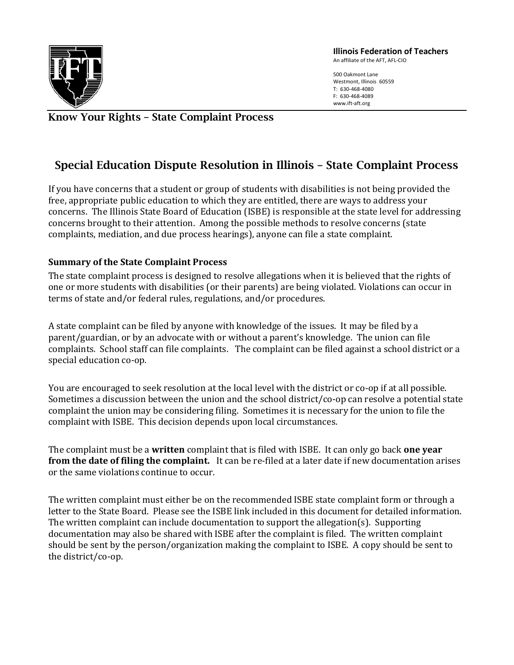

Illinois Federation of Teachers

An affiliate of the AFT, AFL-CIO

500 Oakmont Lane Westmont, Illinois 60559 T: 630-468-4080 F: 630-468-4089 www.ift-aft.org

## Know Your Rights – State Complaint Process

## Special Education Dispute Resolution in Illinois – State Complaint Process

If you have concerns that a student or group of students with disabilities is not being provided the free, appropriate public education to which they are entitled, there are ways to address your concerns. The Illinois State Board of Education (ISBE) is responsible at the state level for addressing concerns brought to their attention. Among the possible methods to resolve concerns (state complaints, mediation, and due process hearings), anyone can file a state complaint.

## Summary of the State Complaint Process

The state complaint process is designed to resolve allegations when it is believed that the rights of one or more students with disabilities (or their parents) are being violated. Violations can occur in terms of state and/or federal rules, regulations, and/or procedures.

A state complaint can be filed by anyone with knowledge of the issues. It may be filed by a parent/guardian, or by an advocate with or without a parent's knowledge. The union can file complaints. School staff can file complaints. The complaint can be filed against a school district or a special education co-op.

You are encouraged to seek resolution at the local level with the district or co-op if at all possible. Sometimes a discussion between the union and the school district/co-op can resolve a potential state complaint the union may be considering filing. Sometimes it is necessary for the union to file the complaint with ISBE. This decision depends upon local circumstances.

The complaint must be a written complaint that is filed with ISBE. It can only go back **one year** from the date of filing the complaint. It can be re-filed at a later date if new documentation arises or the same violations continue to occur.

The written complaint must either be on the recommended ISBE state complaint form or through a letter to the State Board. Please see the ISBE link included in this document for detailed information. The written complaint can include documentation to support the allegation(s). Supporting documentation may also be shared with ISBE after the complaint is filed. The written complaint should be sent by the person/organization making the complaint to ISBE. A copy should be sent to the district/co-op.